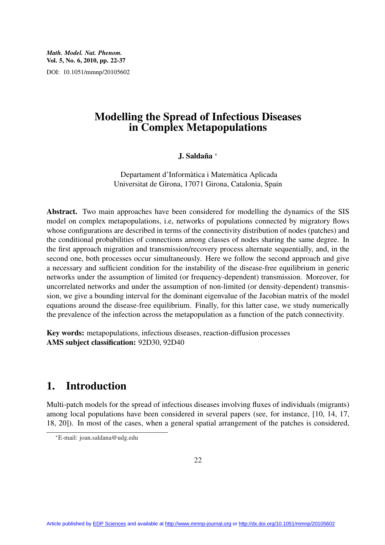*Math. Model. Nat. Phenom.* Vol. 5, No. 6, 2010, pp. 22-37 DOI: 10.1051/mmnp/20105602

# Modelling the Spread of Infectious Diseases in Complex Metapopulations

### J. Saldaña <sup>∗</sup>

Departament d'Informàtica i Matemàtica Aplicada Universitat de Girona, 17071 Girona, Catalonia, Spain

Abstract. Two main approaches have been considered for modelling the dynamics of the SIS model on complex metapopulations, i.e, networks of populations connected by migratory flows whose configurations are described in terms of the connectivity distribution of nodes (patches) and the conditional probabilities of connections among classes of nodes sharing the same degree. In the first approach migration and transmission/recovery process alternate sequentially, and, in the second one, both processes occur simultaneously. Here we follow the second approach and give a necessary and sufficient condition for the instability of the disease-free equilibrium in generic networks under the assumption of limited (or frequency-dependent) transmission. Moreover, for uncorrelated networks and under the assumption of non-limited (or density-dependent) transmission, we give a bounding interval for the dominant eigenvalue of the Jacobian matrix of the model equations around the disease-free equilibrium. Finally, for this latter case, we study numerically the prevalence of the infection across the metapopulation as a function of the patch connectivity.

Key words: metapopulations, infectious diseases, reaction-diffusion processes AMS subject classification: 92D30, 92D40

# 1. Introduction

Multi-patch models for the spread of infectious diseases involving fluxes of individuals (migrants) among local populations have been considered in several papers (see, for instance, [10, 14, 17, 18, 20]). In most of the cases, when a general spatial arrangement of the patches is considered,

<sup>∗</sup>E-mail: joan.saldana@udg.edu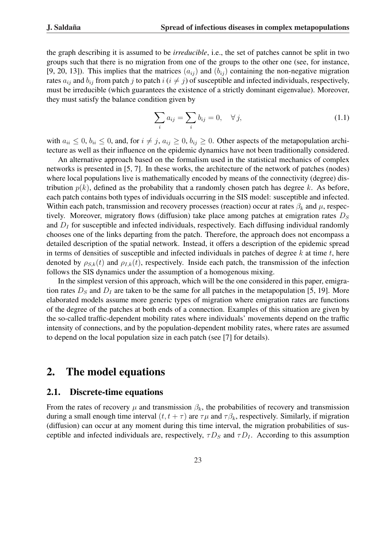the graph describing it is assumed to be *irreducible*, i.e., the set of patches cannot be split in two groups such that there is no migration from one of the groups to the other one (see, for instance, [9, 20, 13]). This implies that the matrices  $(a_{ij})$  and  $(b_{ij})$  containing the non-negative migration rates  $a_{ij}$  and  $b_{ij}$  from patch j to patch  $i$  ( $i \neq j$ ) of susceptible and infected individuals, respectively, must be irreducible (which guarantees the existence of a strictly dominant eigenvalue). Moreover, they must satisfy the balance condition given by

$$
\sum_{i} a_{ij} = \sum_{i} b_{ij} = 0, \quad \forall j,
$$
\n(1.1)

with  $a_{ii} \leq 0$ ,  $b_{ii} \leq 0$ , and, for  $i \neq j$ ,  $a_{ij} \geq 0$ ,  $b_{ij} \geq 0$ . Other aspects of the metapopulation architecture as well as their influence on the epidemic dynamics have not been traditionally considered.

An alternative approach based on the formalism used in the statistical mechanics of complex networks is presented in [5, 7]. In these works, the architecture of the network of patches (nodes) where local populations live is mathematically encoded by means of the connectivity (degree) distribution  $p(k)$ , defined as the probability that a randomly chosen patch has degree k. As before, each patch contains both types of individuals occurring in the SIS model: susceptible and infected. Within each patch, transmission and recovery processes (reaction) occur at rates  $\beta_k$  and  $\mu$ , respectively. Moreover, migratory flows (diffusion) take place among patches at emigration rates  $D<sub>S</sub>$ and  $D<sub>I</sub>$  for susceptible and infected individuals, respectively. Each diffusing individual randomly chooses one of the links departing from the patch. Therefore, the approach does not encompass a detailed description of the spatial network. Instead, it offers a description of the epidemic spread in terms of densities of susceptible and infected individuals in patches of degree  $k$  at time  $t$ , here denoted by  $\rho_{S,k}(t)$  and  $\rho_{I,k}(t)$ , respectively. Inside each patch, the transmission of the infection follows the SIS dynamics under the assumption of a homogenous mixing.

In the simplest version of this approach, which will be the one considered in this paper, emigration rates  $D<sub>S</sub>$  and  $D<sub>I</sub>$  are taken to be the same for all patches in the metapopulation [5, 19]. More elaborated models assume more generic types of migration where emigration rates are functions of the degree of the patches at both ends of a connection. Examples of this situation are given by the so-called traffic-dependent mobility rates where individuals' movements depend on the traffic intensity of connections, and by the population-dependent mobility rates, where rates are assumed to depend on the local population size in each patch (see [7] for details).

### 2. The model equations

#### 2.1. Discrete-time equations

From the rates of recovery  $\mu$  and transmission  $\beta_k$ , the probabilities of recovery and transmission during a small enough time interval  $(t, t + \tau)$  are  $\tau \mu$  and  $\tau \beta_k$ , respectively. Similarly, if migration (diffusion) can occur at any moment during this time interval, the migration probabilities of susceptible and infected individuals are, respectively,  $\tau D_S$  and  $\tau D_I$ . According to this assumption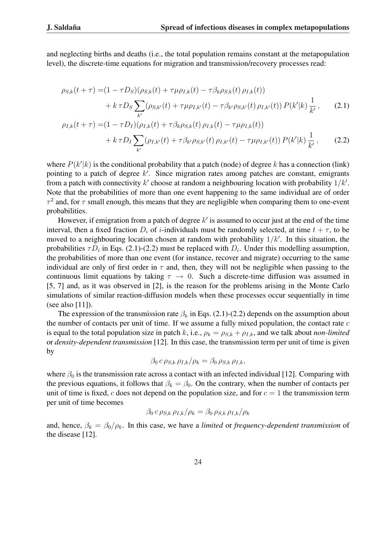and neglecting births and deaths (i.e., the total population remains constant at the metapopulation level), the discrete-time equations for migration and transmission/recovery processes read:

$$
\rho_{S,k}(t+\tau) = (1 - \tau D_S)(\rho_{S,k}(t) + \tau \mu \rho_{I,k}(t) - \tau \beta_k \rho_{S,k}(t) \rho_{I,k}(t)) \n+ k \tau D_S \sum_{k'} (\rho_{S,k'}(t) + \tau \mu \rho_{I,k'}(t) - \tau \beta_{k'} \rho_{S,k'}(t) \rho_{I,k'}(t)) P(k'|k) \frac{1}{k'}, \quad (2.1)
$$
\n
$$
\rho_{I,k}(t+\tau) = (1 - \tau D_I)(\rho_{I,k}(t) + \tau \beta_k \rho_{S,k}(t) \rho_{I,k}(t) - \tau \mu \rho_{I,k}(t)) \n+ k \tau D_I \sum_{k'} (\rho_{I,k'}(t) + \tau \beta_{k'} \rho_{S,k'}(t) \rho_{I,k'}(t) - \tau \mu \rho_{I,k'}(t)) P(k'|k) \frac{1}{k'}, \quad (2.2)
$$

where  $P(k'|k)$  is the conditional probability that a patch (node) of degree k has a connection (link) pointing to a patch of degree  $k'$ . Since migration rates among patches are constant, emigrants from a patch with connectivity k' choose at random a neighbouring location with probability  $1/k'$ . Note that the probabilities of more than one event happening to the same individual are of order  $\tau^2$  and, for  $\tau$  small enough, this means that they are negligible when comparing them to one-event probabilities.

However, if emigration from a patch of degree  $k'$  is assumed to occur just at the end of the time interval, then a fixed fraction  $D_i$  of *i*-individuals must be randomly selected, at time  $t + \tau$ , to be moved to a neighbouring location chosen at random with probability  $1/k'$ . In this situation, the probabilities  $\tau D_i$  in Eqs. (2.1)-(2.2) must be replaced with  $D_i$ . Under this modelling assumption, the probabilities of more than one event (for instance, recover and migrate) occurring to the same individual are only of first order in  $\tau$  and, then, they will not be negligible when passing to the continuous limit equations by taking  $\tau \to 0$ . Such a discrete-time diffusion was assumed in [5, 7] and, as it was observed in [2], is the reason for the problems arising in the Monte Carlo simulations of similar reaction-diffusion models when these processes occur sequentially in time (see also [11]).

The expression of the transmission rate  $\beta_k$  in Eqs. (2.1)-(2.2) depends on the assumption about the number of contacts per unit of time. If we assume a fully mixed population, the contact rate  $c$ is equal to the total population size in patch k, i.e.,  $\rho_k = \rho_{S,k} + \rho_{I,k}$ , and we talk about *non-limited* or *density-dependent transmission* [12]. In this case, the transmission term per unit of time is given by

$$
\beta_0 c \rho_{S,k} \rho_{I,k}/\rho_k = \beta_0 \rho_{S,k} \rho_{I,k},
$$

where  $\beta_0$  is the transmission rate across a contact with an infected individual [12]. Comparing with the previous equations, it follows that  $\beta_k = \beta_0$ . On the contrary, when the number of contacts per unit of time is fixed, c does not depend on the population size, and for  $c = 1$  the transmission term per unit of time becomes

$$
\beta_0 c \rho_{S,k} \rho_{I,k}/\rho_k = \beta_0 \rho_{S,k} \rho_{I,k}/\rho_k
$$

and, hence,  $\beta_k = \beta_0/\rho_k$ . In this case, we have a *limited* or *frequency-dependent transmission* of the disease [12].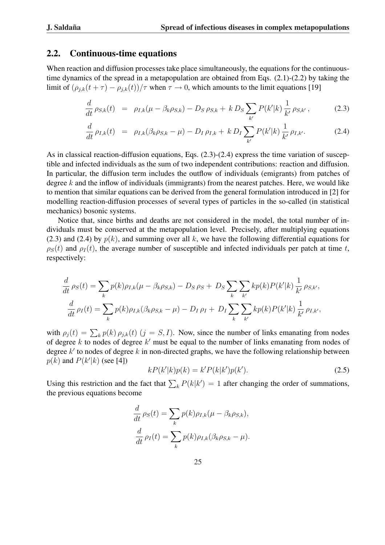### 2.2. Continuous-time equations

When reaction and diffusion processes take place simultaneously, the equations for the continuoustime dynamics of the spread in a metapopulation are obtained from Eqs. (2.1)-(2.2) by taking the limit of  $(\rho_{j,k}(t+\tau) - \rho_{j,k}(t))/\tau$  when  $\tau \to 0$ , which amounts to the limit equations [19]

$$
\frac{d}{dt}\rho_{S,k}(t) = \rho_{I,k}(\mu - \beta_k \rho_{S,k}) - D_S \rho_{S,k} + k D_S \sum_{k'} P(k'|k) \frac{1}{k'} \rho_{S,k'},
$$
\n(2.3)

$$
\frac{d}{dt} \rho_{I,k}(t) = \rho_{I,k}(\beta_k \rho_{S,k} - \mu) - D_I \rho_{I,k} + k D_I \sum_{k'} P(k'|k) \frac{1}{k'} \rho_{I,k'}.
$$
 (2.4)

As in classical reaction-diffusion equations, Eqs. (2.3)-(2.4) express the time variation of susceptible and infected individuals as the sum of two independent contributions: reaction and diffusion. In particular, the diffusion term includes the outflow of individuals (emigrants) from patches of degree  $k$  and the inflow of individuals (immigrants) from the nearest patches. Here, we would like to mention that similar equations can be derived from the general formulation introduced in [2] for modelling reaction-diffusion processes of several types of particles in the so-called (in statistical mechanics) bosonic systems.

Notice that, since births and deaths are not considered in the model, the total number of individuals must be conserved at the metapopulation level. Precisely, after multiplying equations (2.3) and (2.4) by  $p(k)$ , and summing over all k, we have the following differential equations for  $\rho_S(t)$  and  $\rho_I(t)$ , the average number of susceptible and infected individuals per patch at time t, respectively:

$$
\frac{d}{dt}\rho_S(t) = \sum_{k} p(k)\rho_{I,k}(\mu - \beta_k \rho_{S,k}) - D_S \rho_S + D_S \sum_{k} \sum_{k'} k p(k) P(k'|k) \frac{1}{k'} \rho_{S,k'},
$$
  

$$
\frac{d}{dt}\rho_I(t) = \sum_{k} p(k)\rho_{I,k}(\beta_k \rho_{S,k} - \mu) - D_I \rho_I + D_I \sum_{k} \sum_{k'} k p(k) P(k'|k) \frac{1}{k'} \rho_{I,k'},
$$

with  $\rho_j(t) = \sum_k p(k) \rho_{j,k}(t)$   $(j = S, I)$ . Now, since the number of links emanating from nodes of degree k to nodes of degree  $k'$  must be equal to the number of links emanating from nodes of degree  $k'$  to nodes of degree k in non-directed graphs, we have the following relationship between  $p(k)$  and  $P(k'|k)$  (see [4])

$$
kP(k'|k)p(k) = k'P(k|k')p(k').
$$
\n(2.5)

Using this restriction and the fact that  $\sum_{k} P(k|k') = 1$  after changing the order of summations, the previous equations become

$$
\frac{d}{dt} \rho_S(t) = \sum_k p(k) \rho_{I,k}(\mu - \beta_k \rho_{S,k}),
$$

$$
\frac{d}{dt} \rho_I(t) = \sum_k p(k) \rho_{I,k}(\beta_k \rho_{S,k} - \mu).
$$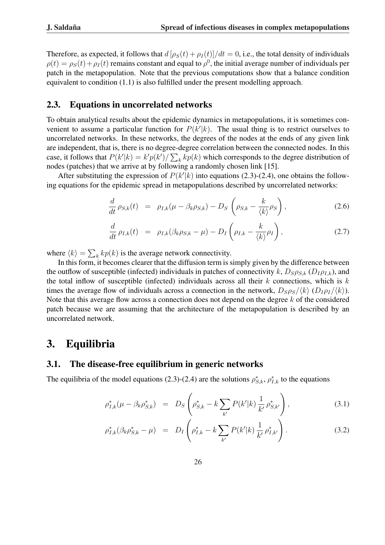Therefore, as expected, it follows that  $d[\rho_S(t) + \rho_I(t)]/dt = 0$ , i.e., the total density of individuals  $\rho(t) = \rho_S(t) + \rho_I(t)$  remains constant and equal to  $\rho^0$ , the initial average number of individuals per patch in the metapopulation. Note that the previous computations show that a balance condition equivalent to condition (1.1) is also fulfilled under the present modelling approach.

#### 2.3. Equations in uncorrelated networks

To obtain analytical results about the epidemic dynamics in metapopulations, it is sometimes convenient to assume a particular function for  $P(k'|k)$ . The usual thing is to restrict ourselves to uncorrelated networks. In these networks, the degrees of the nodes at the ends of any given link are independent, that is, there is no degree-degree correlation between the connected nodes. In this case, it follows that  $P(k'|k) = k'p(k') / \sum_k k p(k)$  which corresponds to the degree distribution of nodes (patches) that we arrive at by following a randomly chosen link [15].

After substituting the expression of  $P(k'|k)$  into equations (2.3)-(2.4), one obtains the following equations for the epidemic spread in metapopulations described by uncorrelated networks:

$$
\frac{d}{dt}\rho_{S,k}(t) = \rho_{I,k}(\mu - \beta_k \rho_{S,k}) - D_S\left(\rho_{S,k} - \frac{k}{\langle k \rangle}\rho_S\right),\tag{2.6}
$$

$$
\frac{d}{dt}\rho_{I,k}(t) = \rho_{I,k}(\beta_k \rho_{S,k} - \mu) - D_I \left(\rho_{I,k} - \frac{k}{\langle k \rangle} \rho_I\right),
$$
\n(2.7)

where  $\langle k \rangle =$  $\overline{ }$  $k k p(k)$  is the average network connectivity.

In this form, it becomes clearer that the diffusion term is simply given by the difference between the outflow of susceptible (infected) individuals in patches of connectivity k,  $D_S \rho_{S,k} (D_I \rho_{I,k})$ , and the total inflow of susceptible (infected) individuals across all their  $k$  connections, which is  $k$ times the average flow of individuals across a connection in the network,  $D_S \rho_S / \langle k \rangle (D_I \rho_I / \langle k \rangle)$ . Note that this average flow across a connection does not depend on the degree  $k$  of the considered patch because we are assuming that the architecture of the metapopulation is described by an uncorrelated network.

### 3. Equilibria

#### 3.1. The disease-free equilibrium in generic networks

The equilibria of the model equations (2.3)-(2.4) are the solutions  $\rho_{S,k}^*$ ,  $\rho_{I,k}^*$  to the equations

$$
\rho_{I,k}^*(\mu - \beta_k \rho_{S,k}^*) = D_S \left( \rho_{S,k}^* - k \sum_{k'} P(k'|k) \frac{1}{k'} \rho_{S,k'}^* \right), \qquad (3.1)
$$

$$
\rho_{I,k}^*(\beta_k \rho_{S,k}^* - \mu) = D_I \left( \rho_{I,k}^* - k \sum_{k'} P(k'|k) \frac{1}{k'} \rho_{I,k'}^* \right).
$$
 (3.2)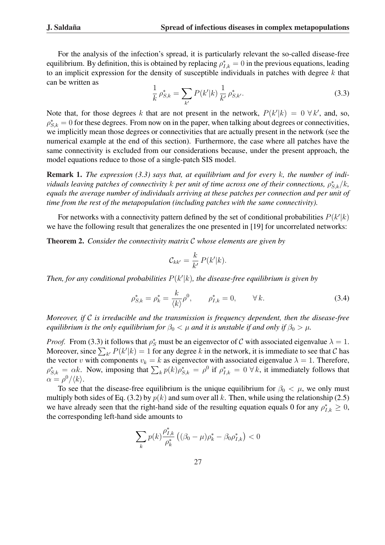For the analysis of the infection's spread, it is particularly relevant the so-called disease-free equilibrium. By definition, this is obtained by replacing  $\rho_{I,k}^* = 0$  in the previous equations, leading to an implicit expression for the density of susceptible individuals in patches with degree  $k$  that can be written as

$$
\frac{1}{k}\,\rho_{S,k}^* = \sum_{k'} P(k'|k) \frac{1}{k'} \,\rho_{S,k'}^*.
$$
\n(3.3)

Note that, for those degrees k that are not present in the network,  $P(k'|k) = 0 \ \forall k'$ , and, so,  $\rho_{S,k}^* = 0$  for these degrees. From now on in the paper, when talking about degrees or connectivities, we implicitly mean those degrees or connectivities that are actually present in the network (see the numerical example at the end of this section). Furthermore, the case where all patches have the same connectivity is excluded from our considerations because, under the present approach, the model equations reduce to those of a single-patch SIS model.

Remark 1. *The expression (3.3) says that, at equilibrium and for every* k*, the number of individuals leaving patches of connectivity*  $k$  *per unit of time across one of their connections,*  $\rho_{S,k}^*/k$ , *equals the average number of individuals arriving at these patches per connection and per unit of time from the rest of the metapopulation (including patches with the same connectivity).*

For networks with a connectivity pattern defined by the set of conditional probabilities  $P(k'|k)$ we have the following result that generalizes the one presented in [19] for uncorrelated networks:

Theorem 2. *Consider the connectivity matrix* C *whose elements are given by*

$$
\mathcal{C}_{kk'} = \frac{k}{k'} P(k'|k).
$$

Then, for any conditional probabilities  $P(k'|k)$ , the disease-free equilibrium is given by

$$
\rho_{S,k}^* = \rho_k^* = \frac{k}{\langle k \rangle} \rho^0, \qquad \rho_{I,k}^* = 0, \qquad \forall k. \tag{3.4}
$$

*Moreover, if* C *is irreducible and the transmission is frequency dependent, then the disease-free equilibrium is the only equilibrium for*  $\beta_0 < \mu$  *and it is unstable if and only if*  $\beta_0 > \mu$ *.* 

*Proof.* From (3.3) it follows that  $\rho_S^*$  must be an eigenvector of C with associated eigenvalue  $\lambda = 1$ . *Proof.* From (3.3) it follows that  $\rho_S$  must be an eigenvector of C with associated eigenvalue  $\lambda = 1$ .<br>Moreover, since  $\sum_{k'} P(k'|k) = 1$  for any degree k in the network, it is immediate to see that C has the vector v with components  $v_k = k$  as eigenvector with associated eigenvalue  $\lambda = 1$ . Therefore, the vector v with components  $v_k = k$  as eigenvector with associated eigenvalue  $\lambda = 1$ . Therefore,<br> $\rho_{S,k}^* = \alpha k$ . Now, imposing that  $\sum_k p(k)\rho_{S,k}^* = \rho^0$  if  $\rho_{I,k}^* = 0 \forall k$ , it immediately follows that  $\alpha = \rho^0/\langle k \rangle$ .

To see that the disease-free equilibrium is the unique equilibrium for  $\beta_0 < \mu$ , we only must multiply both sides of Eq. (3.2) by  $p(k)$  and sum over all k. Then, while using the relationship (2.5) we have already seen that the right-hand side of the resulting equation equals 0 for any  $\rho_{I,k}^* \geq 0$ , the corresponding left-hand side amounts to

$$
\sum_{k} p(k) \frac{\rho_{I,k}^*}{\rho_k^*} \left( (\beta_0 - \mu) \rho_k^* - \beta_0 \rho_{I,k}^* \right) < 0
$$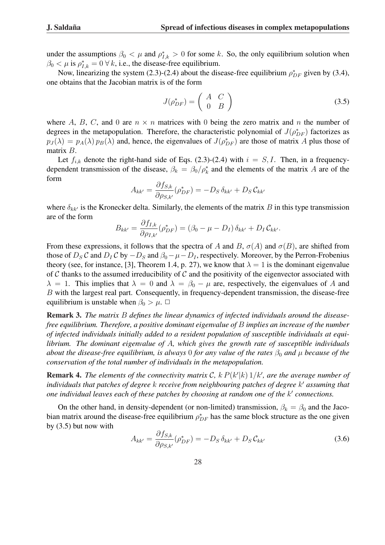under the assumptions  $\beta_0 < \mu$  and  $\rho_{I,k}^* > 0$  for some k. So, the only equilibrium solution when  $\beta_0 < \mu$  is  $\rho_{I,k}^* = 0 \,\forall k$ , i.e., the disease-free equilibrium.

Now, linearizing the system (2.3)-(2.4) about the disease-free equilibrium  $\rho_{DF}^*$  given by (3.4), one obtains that the Jacobian matrix is of the form

$$
J(\rho_{DF}^*) = \left(\begin{array}{cc} A & C \\ 0 & B \end{array}\right) \tag{3.5}
$$

where A, B, C, and 0 are  $n \times n$  matrices with 0 being the zero matrix and n the number of degrees in the metapopulation. Therefore, the characteristic polynomial of  $J(\rho_{DF}^*)$  factorizes as  $p_J(\lambda) = p_A(\lambda) p_B(\lambda)$  and, hence, the eigenvalues of  $J(\rho_{DF}^*)$  are those of matrix A plus those of matrix B.

Let  $f_{i,k}$  denote the right-hand side of Eqs. (2.3)-(2.4) with  $i = S, I$ . Then, in a frequencydependent transmission of the disease,  $\beta_k = \beta_0 / \rho_k^*$  and the elements of the matrix A are of the form

$$
A_{kk'} = \frac{\partial f_{S,k}}{\partial \rho_{S,k'}} (\rho_{DF}^*) = -D_S \,\delta_{kk'} + D_S \,\mathcal{C}_{kk'}
$$

where  $\delta_{kk'}$  is the Kronecker delta. Similarly, the elements of the matrix B in this type transmission are of the form  $\sim$   $\lambda$ 

$$
B_{kk'} = \frac{\partial f_{I,k}}{\partial \rho_{I,k'}} (\rho^*_{DF}) = (\beta_0 - \mu - D_I) \, \delta_{kk'} + D_I \, C_{kk'}.
$$

From these expressions, it follows that the spectra of A and B,  $\sigma(A)$  and  $\sigma(B)$ , are shifted from those of  $D_S C$  and  $D_I C$  by  $-D_S$  and  $\beta_0 - \mu - D_I$ , respectively. Moreover, by the Perron-Frobenius theory (see, for instance, [3], Theorem 1.4, p. 27), we know that  $\lambda = 1$  is the dominant eigenvalue of  $C$  thanks to the assumed irreducibility of  $C$  and the positivity of the eigenvector associated with  $\lambda = 1$ . This implies that  $\lambda = 0$  and  $\lambda = \beta_0 - \mu$  are, respectively, the eigenvalues of A and B with the largest real part. Consequently, in frequency-dependent transmission, the disease-free equilibrium is unstable when  $\beta_0 > \mu$ .  $\Box$ 

Remark 3. *The matrix* B *defines the linear dynamics of infected individuals around the diseasefree equilibrium. Therefore, a positive dominant eigenvalue of* B *implies an increase of the number of infected individuals initially added to a resident population of susceptible individuals at equilibrium. The dominant eigenvalue of* A*, which gives the growth rate of susceptible individuals about the disease-free equilibrium, is always* 0 *for any value of the rates*  $\beta_0$  *and*  $\mu$  *because of the conservation of the total number of individuals in the metapopulation.*

**Remark 4.** The elements of the connectivity matrix C,  $k P(k'|k) 1/k'$ , are the average number of *individuals that patches of degree* k *receive from neighbouring patches of degree* k <sup>0</sup> *assuming that one individual leaves each of these patches by choosing at random one of the k' connections.* 

On the other hand, in density-dependent (or non-limited) transmission,  $\beta_k = \beta_0$  and the Jacobian matrix around the disease-free equilibrium  $\rho_{DF}^*$  has the same block structure as the one given by (3.5) but now with

$$
A_{kk'} = \frac{\partial f_{S,k}}{\partial \rho_{S,k'}} (\rho_{DF}^*) = -D_S \,\delta_{kk'} + D_S \,\mathcal{C}_{kk'}
$$
\n
$$
(3.6)
$$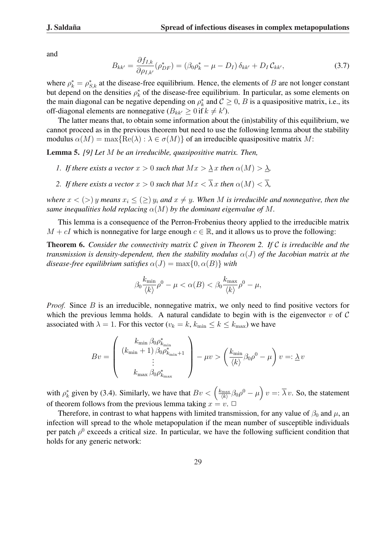and

$$
B_{kk'} = \frac{\partial f_{I,k}}{\partial \rho_{I,k'}} (\rho_{DF}^*) = (\beta_0 \rho_k^* - \mu - D_I) \, \delta_{kk'} + D_I \, \mathcal{C}_{kk'}, \tag{3.7}
$$

where  $\rho_k^* = \rho_{S,k}^*$  at the disease-free equilibrium. Hence, the elements of B are not longer constant but depend on the densities  $\rho_k^*$  of the disease-free equilibrium. In particular, as some elements on the main diagonal can be negative depending on  $\rho_k^*$  and  $\mathcal{C} \geq 0$ , B is a quasipositive matrix, i.e., its off-diagonal elements are nonnegative ( $B_{kk'} \ge 0$  if  $k \ne k'$ ).

The latter means that, to obtain some information about the (in)stability of this equilibrium, we cannot proceed as in the previous theorem but need to use the following lemma about the stability modulus  $\alpha(M) = \max\{Re(\lambda) : \lambda \in \sigma(M)\}\$  of an irreducible quasipositive matrix M:

Lemma 5. *[9] Let* M *be an irreducible, quasipositive matrix. Then,*

- *1. If there exists a vector*  $x > 0$  *such that*  $Mx > \lambda x$  *then*  $\alpha(M) > \lambda$ *,*
- *2. If there exists a vector*  $x > 0$  *such that*  $Mx < \overline{\lambda}x$  *then*  $\alpha(M) < \overline{\lambda}$ *,*

*where*  $x <$   $($  >  $)$   $y$  *means*  $x_i \le$   $($   $\ge$   $)$   $y_i$  *and*  $x \neq y$ *. When M is irreducible and nonnegative, then the same inequalities hold replacing*  $\alpha(M)$  *by the dominant eigenvalue of* M.

This lemma is a consequence of the Perron-Frobenius theory applied to the irreducible matrix  $M + cI$  which is nonnegative for large enough  $c \in \mathbb{R}$ , and it allows us to prove the following:

Theorem 6. *Consider the connectivity matrix* C *given in Theorem 2. If* C *is irreducible and the transmission is density-dependent, then the stability modulus*  $\alpha(J)$  *of the Jacobian matrix at the disease-free equilibrium satisfies*  $\alpha(J) = \max\{0, \alpha(B)\}\$  *with* 

$$
\beta_0 \frac{k_{\min}}{\langle k \rangle} \rho^0 - \mu < \alpha(B) < \beta_0 \frac{k_{\max}}{\langle k \rangle} \rho^0 - \mu,
$$

*Proof.* Since B is an irreducible, nonnegative matrix, we only need to find positive vectors for which the previous lemma holds. A natural candidate to begin with is the eigenvector  $v$  of  $C$ associated with  $\lambda = 1$ . For this vector  $(v_k = k, k_{\text{min}} \le k \le k_{\text{max}})$  we have

$$
Bv = \left(\begin{array}{c} k_{\min}\,\beta_0\rho^*_{k_{\min}} \\ \left(k_{\min}+1\right)\beta_0\rho^*_{k_{\min}+1} \\ \vdots \\ k_{\max}\,\beta_0\rho^*_{k_{\max}} \end{array}\right) - \mu v > \left(\frac{k_{\min}}{\langle k \rangle}\beta_0\rho^0 - \mu\right)v =: \underline{\lambda}\,v
$$

with  $\rho_k^*$  given by (3.4). Similarly, we have that  $Bv < \left(\frac{k_{\text{max}}}{\langle k \rangle}\right)$  $\frac{\lambda_{\max}}{\langle k \rangle} \beta_0 \rho^0 - \mu$ ´  $v =: \lambda v$ . So, the statement of theorem follows from the previous lemma taking  $x = v$ .  $\Box$ 

Therefore, in contrast to what happens with limited transmission, for any value of  $\beta_0$  and  $\mu$ , an infection will spread to the whole metapopulation if the mean number of susceptible individuals per patch  $\rho^0$  exceeds a critical size. In particular, we have the following sufficient condition that holds for any generic network: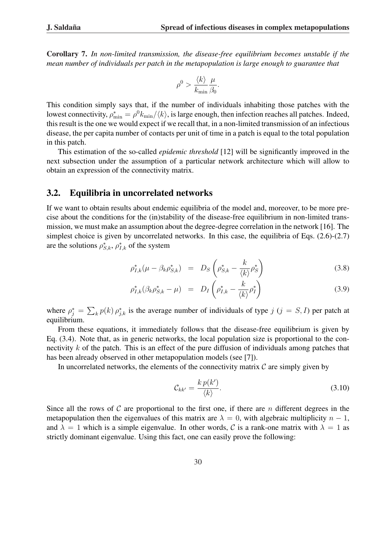Corollary 7. *In non-limited transmission, the disease-free equilibrium becomes unstable if the mean number of individuals per patch in the metapopulation is large enough to guarantee that*

$$
\rho^0 > \frac{\langle k \rangle}{k_{\min}} \frac{\mu}{\beta_0}.
$$

This condition simply says that, if the number of individuals inhabiting those patches with the lowest connectivity,  $\rho_{\min}^* = \rho^0 k_{\min}/\langle k \rangle$ , is large enough, then infection reaches all patches. Indeed, this result is the one we would expect if we recall that, in a non-limited transmission of an infectious disease, the per capita number of contacts per unit of time in a patch is equal to the total population in this patch.

This estimation of the so-called *epidemic threshold* [12] will be significantly improved in the next subsection under the assumption of a particular network architecture which will allow to obtain an expression of the connectivity matrix.

### 3.2. Equilibria in uncorrelated networks

If we want to obtain results about endemic equilibria of the model and, moreover, to be more precise about the conditions for the (in)stability of the disease-free equilibrium in non-limited transmission, we must make an assumption about the degree-degree correlation in the network [16]. The simplest choice is given by uncorrelated networks. In this case, the equilibria of Eqs. (2.6)-(2.7) are the solutions  $\rho_{S,k}^*$ ,  $\rho_{I,k}^*$  of the system

$$
\rho_{I,k}^*(\mu - \beta_k \rho_{S,k}^*) = D_S \left( \rho_{S,k}^* - \frac{k}{\langle k \rangle} \rho_S^* \right) \tag{3.8}
$$

$$
\rho_{I,k}^*(\beta_k \rho_{S,k}^* - \mu) = D_I \left( \rho_{I,k}^* - \frac{k}{\langle k \rangle} \rho_I^* \right) \tag{3.9}
$$

where  $\rho_j^* =$  $\overline{ }$  ${}_{k}p(k) \rho_{j,k}^{*}$  is the average number of individuals of type  $j$  ( $j = S, I$ ) per patch at equilibrium.

From these equations, it immediately follows that the disease-free equilibrium is given by Eq. (3.4). Note that, as in generic networks, the local population size is proportional to the connectivity k of the patch. This is an effect of the pure diffusion of individuals among patches that has been already observed in other metapopulation models (see [7]).

In uncorrelated networks, the elements of the connectivity matrix  $\mathcal C$  are simply given by

$$
\mathcal{C}_{kk'} = \frac{k \, p(k')}{\langle k \rangle}.\tag{3.10}
$$

Since all the rows of C are proportional to the first one, if there are n different degrees in the metapopulation then the eigenvalues of this matrix are  $\lambda = 0$ , with algebraic multiplicity  $n - 1$ , and  $\lambda = 1$  which is a simple eigenvalue. In other words, C is a rank-one matrix with  $\lambda = 1$  as strictly dominant eigenvalue. Using this fact, one can easily prove the following: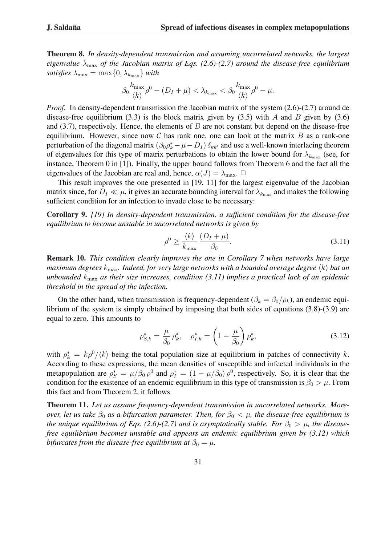Theorem 8. *In density-dependent transmission and assuming uncorrelated networks, the largest eigenvalue*  $\lambda_{\text{max}}$  *of the Jacobian matrix of Eqs.* (2.6)-(2.7) around the disease-free equilibrium *satisfies*  $\lambda_{\max} = \max\{0, \lambda_{k_{\max}}\}$  *with* 

$$
\beta_0 \frac{k_{\max}}{\langle k \rangle} \rho^0 - (D_I + \mu) < \lambda_{k_{\max}} < \beta_0 \frac{k_{\max}}{\langle k \rangle} \rho^0 - \mu.
$$

*Proof.* In density-dependent transmission the Jacobian matrix of the system (2.6)-(2.7) around de disease-free equilibrium (3.3) is the block matrix given by (3.5) with A and B given by (3.6) and  $(3.7)$ , respectively. Hence, the elements of  $B$  are not constant but depend on the disease-free equilibrium. However, since now  $\mathcal C$  has rank one, one can look at the matrix  $B$  as a rank-one perturbation of the diagonal matrix  $(\beta_0 \rho_k^* - \mu - D_I) \delta_{kk'}$  and use a well-known interlacing theorem of eigenvalues for this type of matrix perturbations to obtain the lower bound for  $\lambda_{k_{\text{max}}}$  (see, for instance, Theorem 0 in [1]). Finally, the upper bound follows from Theorem 6 and the fact all the eigenvalues of the Jacobian are real and, hence,  $\alpha(J) = \lambda_{\text{max}}$ .  $\Box$ 

This result improves the one presented in [19, 11] for the largest eigenvalue of the Jacobian matrix since, for  $D_I \ll \mu$ , it gives an accurate bounding interval for  $\lambda_{k_{\text{max}}}$  and makes the following sufficient condition for an infection to invade close to be necessary:

Corollary 9. *[19] In density-dependent transmission, a sufficient condition for the disease-free equilibrium to become unstable in uncorrelated networks is given by*

$$
\rho^0 \ge \frac{\langle k \rangle}{k_{\text{max}}} \frac{(D_I + \mu)}{\beta_0}.
$$
\n(3.11)

Remark 10. *This condition clearly improves the one in Corollary 7 when networks have large maximum degrees*  $k_{\text{max}}$ *. Indeed, for very large networks with a bounded average degree*  $\langle k \rangle$  *but an unbounded* kmax *as their size increases, condition (3.11) implies a practical lack of an epidemic threshold in the spread of the infection.*

On the other hand, when transmission is frequency-dependent ( $\beta_k = \beta_0/\rho_k$ ), an endemic equilibrium of the system is simply obtained by imposing that both sides of equations (3.8)-(3.9) are equal to zero. This amounts to

$$
\rho_{S,k}^* = \frac{\mu}{\beta_0} \rho_k^*, \quad \rho_{I,k}^* = \left(1 - \frac{\mu}{\beta_0}\right) \rho_k^*,
$$
\n(3.12)

with  $\rho_k^* = k\rho^0/\langle k \rangle$  being the total population size at equilibrium in patches of connectivity k. According to these expressions, the mean densities of susceptible and infected individuals in the metapopulation are  $\rho_S^* = \mu/\beta_0 \rho^0$  and  $\rho_I^* = (1 - \mu/\beta_0) \rho^0$ , respectively. So, it is clear that the condition for the existence of an endemic equilibrium in this type of transmission is  $\beta_0 > \mu$ . From this fact and from Theorem 2, it follows

Theorem 11. *Let us assume frequency-dependent transmission in uncorrelated networks. Moreover, let us take*  $\beta_0$  *as a bifurcation parameter. Then, for*  $\beta_0 < \mu$ *, the disease-free equilibrium is the unique equilibrium of Eqs.* (2.6)-(2.7) and is asymptotically stable. For  $\beta_0 > \mu$ , the disease*free equilibrium becomes unstable and appears an endemic equilibrium given by (3.12) which bifurcates from the disease-free equilibrium at*  $\beta_0 = \mu$ .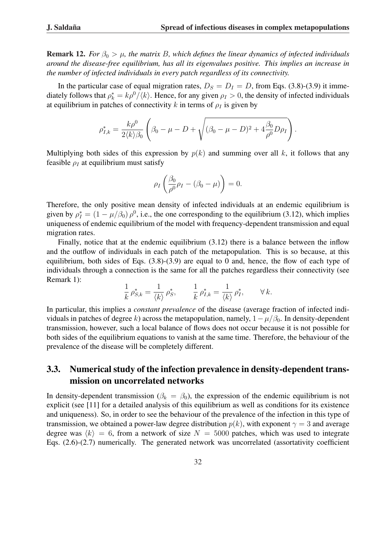**Remark 12.** *For*  $\beta_0 > \mu$ , the matrix B, which defines the linear dynamics of infected individuals *around the disease-free equilibrium, has all its eigenvalues positive. This implies an increase in the number of infected individuals in every patch regardless of its connectivity.*

In the particular case of equal migration rates,  $D_S = D_I = D$ , from Eqs. (3.8)-(3.9) it immediately follows that  $\rho_k^* = k\rho^0/\langle k \rangle$ . Hence, for any given  $\rho_I > 0$ , the density of infected individuals at equilibrium in patches of connectivity k in terms of  $\rho_I$  is given by

$$
\rho_{I,k}^* = \frac{k\rho^0}{2\langle k \rangle \beta_0} \left( \beta_0 - \mu - D + \sqrt{(\beta_0 - \mu - D)^2 + 4\frac{\beta_0}{\rho^0}D\rho_I} \right).
$$

Multiplying both sides of this expression by  $p(k)$  and summing over all k, it follows that any feasible  $\rho_I$  at equilibrium must satisfy

$$
\rho_I\left(\frac{\beta_0}{\rho^0}\rho_I-(\beta_0-\mu)\right)=0.
$$

Therefore, the only positive mean density of infected individuals at an endemic equilibrium is given by  $\rho_I^* = (1 - \mu/\beta_0) \rho^0$ , i.e., the one corresponding to the equilibrium (3.12), which implies uniqueness of endemic equilibrium of the model with frequency-dependent transmission and equal migration rates.

Finally, notice that at the endemic equilibrium (3.12) there is a balance between the inflow and the outflow of individuals in each patch of the metapopulation. This is so because, at this equilibrium, both sides of Eqs. (3.8)-(3.9) are equal to 0 and, hence, the flow of each type of individuals through a connection is the same for all the patches regardless their connectivity (see Remark 1):

$$
\frac{1}{k}\,\rho_{S,k}^* = \frac{1}{\langle k \rangle}\,\rho_S^*, \qquad \frac{1}{k}\,\rho_{I,k}^* = \frac{1}{\langle k \rangle}\,\rho_I^*, \qquad \forall \, k.
$$

In particular, this implies a *constant prevalence* of the disease (average fraction of infected individuals in patches of degree k) across the metapopulation, namely,  $1 - \mu/\beta_0$ . In density-dependent transmission, however, such a local balance of flows does not occur because it is not possible for both sides of the equilibrium equations to vanish at the same time. Therefore, the behaviour of the prevalence of the disease will be completely different.

### 3.3. Numerical study of the infection prevalence in density-dependent transmission on uncorrelated networks

In density-dependent transmission ( $\beta_k = \beta_0$ ), the expression of the endemic equilibrium is not explicit (see [11] for a detailed analysis of this equilibrium as well as conditions for its existence and uniqueness). So, in order to see the behaviour of the prevalence of the infection in this type of transmission, we obtained a power-law degree distribution  $p(k)$ , with exponent  $\gamma = 3$  and average degree was  $\langle k \rangle = 6$ , from a network of size  $N = 5000$  patches, which was used to integrate Eqs. (2.6)-(2.7) numerically. The generated network was uncorrelated (assortativity coefficient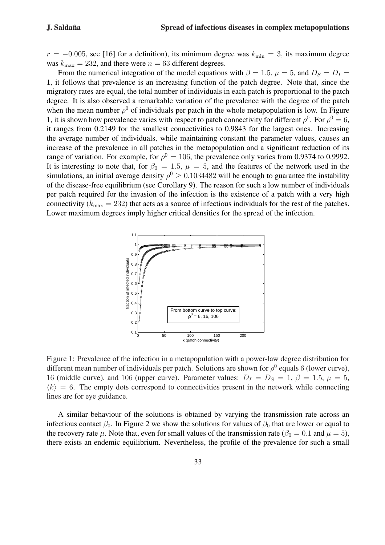$r = -0.005$ , see [16] for a definition), its minimum degree was  $k_{\text{min}} = 3$ , its maximum degree was  $k_{\text{max}} = 232$ , and there were  $n = 63$  different degrees.

From the numerical integration of the model equations with  $\beta = 1.5$ ,  $\mu = 5$ , and  $D_s = D_l =$ 1, it follows that prevalence is an increasing function of the patch degree. Note that, since the migratory rates are equal, the total number of individuals in each patch is proportional to the patch degree. It is also observed a remarkable variation of the prevalence with the degree of the patch when the mean number  $\rho^0$  of individuals per patch in the whole metapopulation is low. In Figure 1, it is shown how prevalence varies with respect to patch connectivity for different  $\rho^0$ . For  $\rho^0 = 6$ , it ranges from 0.2149 for the smallest connectivities to 0.9843 for the largest ones. Increasing the average number of individuals, while maintaining constant the parameter values, causes an increase of the prevalence in all patches in the metapopulation and a significant reduction of its range of variation. For example, for  $\rho^0 = 106$ , the prevalence only varies from 0.9374 to 0.9992. It is interesting to note that, for  $\beta_0 = 1.5$ ,  $\mu = 5$ , and the features of the network used in the simulations, an initial average density  $\rho^0 \ge 0.1034482$  will be enough to guarantee the instability of the disease-free equilibrium (see Corollary 9). The reason for such a low number of individuals per patch required for the invasion of the infection is the existence of a patch with a very high connectivity ( $k_{\text{max}} = 232$ ) that acts as a source of infectious individuals for the rest of the patches. Lower maximum degrees imply higher critical densities for the spread of the infection.



Figure 1: Prevalence of the infection in a metapopulation with a power-law degree distribution for different mean number of individuals per patch. Solutions are shown for  $\rho^0$  equals 6 (lower curve), 16 (middle curve), and 106 (upper curve). Parameter values:  $D_I = D_S = 1, \beta = 1.5, \mu = 5$ ,  $\langle k \rangle = 6$ . The empty dots correspond to connectivities present in the network while connecting lines are for eye guidance.

A similar behaviour of the solutions is obtained by varying the transmission rate across an infectious contact  $\beta_0$ . In Figure 2 we show the solutions for values of  $\beta_0$  that are lower or equal to the recovery rate  $\mu$ . Note that, even for small values of the transmission rate ( $\beta_0 = 0.1$  and  $\mu = 5$ ), there exists an endemic equilibrium. Nevertheless, the profile of the prevalence for such a small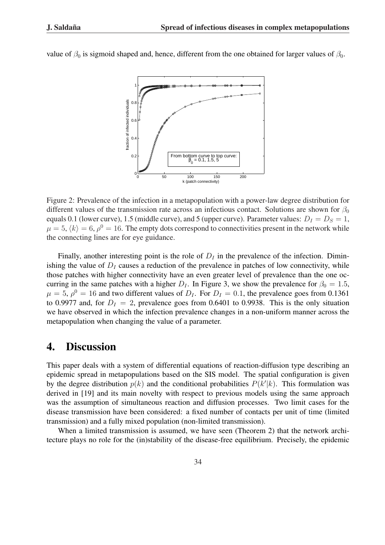

value of  $\beta_0$  is sigmoid shaped and, hence, different from the one obtained for larger values of  $\beta_0$ .

Figure 2: Prevalence of the infection in a metapopulation with a power-law degree distribution for different values of the transmission rate across an infectious contact. Solutions are shown for  $\beta_0$ equals 0.1 (lower curve), 1.5 (middle curve), and 5 (upper curve). Parameter values:  $D<sub>I</sub> = D<sub>S</sub> = 1$ ,  $\mu = 5, \langle k \rangle = 6, \rho^0 = 16$ . The empty dots correspond to connectivities present in the network while the connecting lines are for eye guidance.

Finally, another interesting point is the role of  $D<sub>I</sub>$  in the prevalence of the infection. Diminishing the value of  $D<sub>I</sub>$  causes a reduction of the prevalence in patches of low connectivity, while those patches with higher connectivity have an even greater level of prevalence than the one occurring in the same patches with a higher  $D<sub>I</sub>$ . In Figure 3, we show the prevalence for  $\beta_0 = 1.5$ ,  $\mu = 5$ ,  $\rho^0 = 16$  and two different values of  $D_I$ . For  $D_I = 0.1$ , the prevalence goes from 0.1361 to 0.9977 and, for  $D<sub>I</sub> = 2$ , prevalence goes from 0.6401 to 0.9938. This is the only situation we have observed in which the infection prevalence changes in a non-uniform manner across the metapopulation when changing the value of a parameter.

## 4. Discussion

This paper deals with a system of differential equations of reaction-diffusion type describing an epidemic spread in metapopulations based on the SIS model. The spatial configuration is given by the degree distribution  $p(k)$  and the conditional probabilities  $P(k'|k)$ . This formulation was derived in [19] and its main novelty with respect to previous models using the same approach was the assumption of simultaneous reaction and diffusion processes. Two limit cases for the disease transmission have been considered: a fixed number of contacts per unit of time (limited transmission) and a fully mixed population (non-limited transmission).

When a limited transmission is assumed, we have seen (Theorem 2) that the network architecture plays no role for the (in)stability of the disease-free equilibrium. Precisely, the epidemic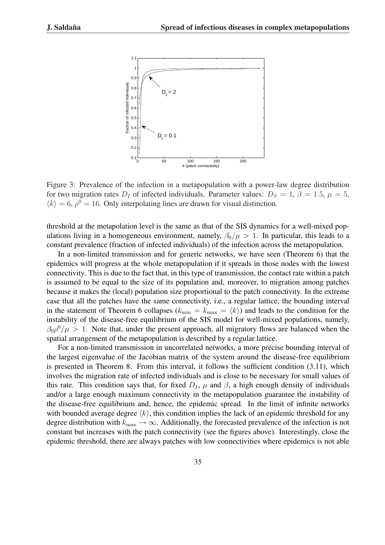

Figure 3: Prevalence of the infection in a metapopulation with a power-law degree distribution for two migration rates  $D<sub>I</sub>$  of infected individuals. Parameter values:  $D<sub>S</sub> = 1, \beta = 1.5, \mu = 5$ ,  $\langle k \rangle = 6$ ,  $\rho^0 = 16$ . Only interpolating lines are drawn for visual distinction.

threshold at the metapolation level is the same as that of the SIS dynamics for a well-mixed populations living in a homogeneous environment, namely,  $\beta_0/\mu > 1$ . In particular, this leads to a constant prevalence (fraction of infected individuals) of the infection across the metapopulation.

In a non-limited transmission and for generic networks, we have seen (Theorem 6) that the epidemics will progress at the whole metapopulation if it spreads in those nodes with the lowest connectivity. This is due to the fact that, in this type of transmission, the contact rate within a patch is assumed to be equal to the size of its population and, moreover, to migration among patches because it makes the (local) population size proportional to the patch connectivity. In the extreme case that all the patches have the same connectivity, i.e., a regular lattice, the bounding interval in the statement of Theorem 6 collapses ( $k_{\min} = k_{\max} = \langle k \rangle$ ) and leads to the condition for the instability of the disease-free equilibrium of the SIS model for well-mixed populations, namely,  $\beta_0 \rho^0/\mu > 1$ . Note that, under the present approach, all migratory flows are balanced when the spatial arrangement of the metapopulation is described by a regular lattice.

For a non-limited transmission in uncorrelated networks, a more precise bounding interval of the largest eigenvalue of the Jacobian matrix of the system around the disease-free equilibrium is presented in Theorem 8. From this interval, it follows the sufficient condition (3.11), which involves the migration rate of infected individuals and is close to be necessary for small values of this rate. This condition says that, for fixed  $D<sub>I</sub>$ ,  $\mu$  and  $\beta$ , a high enough density of individuals and/or a large enough maximum connectivity in the metapopulation guarantee the instability of the disease-free equilibrium and, hence, the epidemic spread. In the limit of infinite networks with bounded average degree  $\langle k \rangle$ , this condition implies the lack of an epidemic threshold for any degree distribution with  $k_{\text{max}} \rightarrow \infty$ . Additionally, the forecasted prevalence of the infection is not constant but increases with the patch connectivity (see the figures above). Interestingly, close the epidemic threshold, there are always patches with low connectivities where epidemics is not able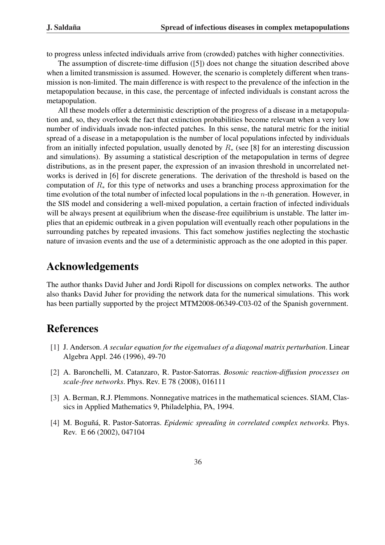to progress unless infected individuals arrive from (crowded) patches with higher connectivities.

The assumption of discrete-time diffusion ([5]) does not change the situation described above when a limited transmission is assumed. However, the scenario is completely different when transmission is non-limited. The main difference is with respect to the prevalence of the infection in the metapopulation because, in this case, the percentage of infected individuals is constant across the metapopulation.

All these models offer a deterministic description of the progress of a disease in a metapopulation and, so, they overlook the fact that extinction probabilities become relevant when a very low number of individuals invade non-infected patches. In this sense, the natural metric for the initial spread of a disease in a metapopulation is the number of local populations infected by individuals from an initially infected population, usually denoted by  $R_{*}$  (see [8] for an interesting discussion and simulations). By assuming a statistical description of the metapopulation in terms of degree distributions, as in the present paper, the expression of an invasion threshold in uncorrelated networks is derived in [6] for discrete generations. The derivation of the threshold is based on the computation of  $R_*$  for this type of networks and uses a branching process approximation for the time evolution of the total number of infected local populations in the  $n$ -th generation. However, in the SIS model and considering a well-mixed population, a certain fraction of infected individuals will be always present at equilibrium when the disease-free equilibrium is unstable. The latter implies that an epidemic outbreak in a given population will eventually reach other populations in the surrounding patches by repeated invasions. This fact somehow justifies neglecting the stochastic nature of invasion events and the use of a deterministic approach as the one adopted in this paper.

# Acknowledgements

The author thanks David Juher and Jordi Ripoll for discussions on complex networks. The author also thanks David Juher for providing the network data for the numerical simulations. This work has been partially supported by the project MTM2008-06349-C03-02 of the Spanish government.

### References

- [1] J. Anderson. *A secular equation for the eigenvalues of a diagonal matrix perturbation*. Linear Algebra Appl. 246 (1996), 49-70
- [2] A. Baronchelli, M. Catanzaro, R. Pastor-Satorras. *Bosonic reaction-diffusion processes on scale-free networks*. Phys. Rev. E 78 (2008), 016111
- [3] A. Berman, R.J. Plemmons. Nonnegative matrices in the mathematical sciences. SIAM, Classics in Applied Mathematics 9, Philadelphia, PA, 1994.
- [4] M. Boguñá, R. Pastor-Satorras. *Epidemic spreading in correlated complex networks*. Phys. Rev. E 66 (2002), 047104